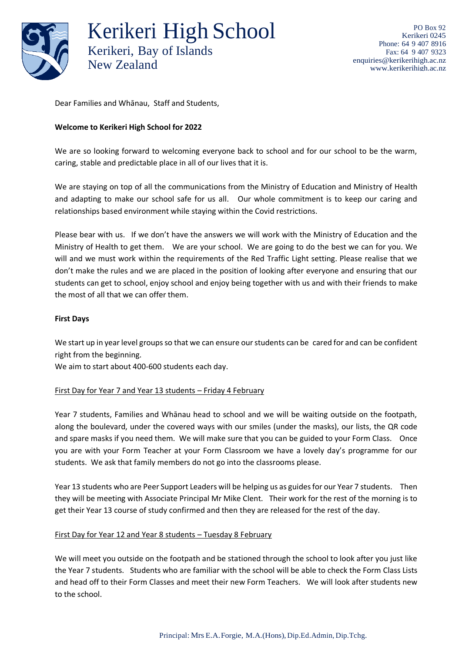

Kerikeri High School Kerikeri, Bay of Islands New Zealand

Dear Families and Whānau, Staff and Students,

## **Welcome to Kerikeri High School for 2022**

We are so looking forward to welcoming everyone back to school and for our school to be the warm, caring, stable and predictable place in all of our lives that it is.

We are staying on top of all the communications from the Ministry of Education and Ministry of Health and adapting to make our school safe for us all. Our whole commitment is to keep our caring and relationships based environment while staying within the Covid restrictions.

Please bear with us. If we don't have the answers we will work with the Ministry of Education and the Ministry of Health to get them. We are your school. We are going to do the best we can for you. We will and we must work within the requirements of the Red Traffic Light setting. Please realise that we don't make the rules and we are placed in the position of looking after everyone and ensuring that our students can get to school, enjoy school and enjoy being together with us and with their friends to make the most of all that we can offer them.

### **First Days**

We start up in year level groups so that we can ensure our students can be cared for and can be confident right from the beginning.

We aim to start about 400-600 students each day.

#### First Day for Year 7 and Year 13 students – Friday 4 February

Year 7 students, Families and Whānau head to school and we will be waiting outside on the footpath, along the boulevard, under the covered ways with our smiles (under the masks), our lists, the QR code and spare masks if you need them. We will make sure that you can be guided to your Form Class. Once you are with your Form Teacher at your Form Classroom we have a lovely day's programme for our students. We ask that family members do not go into the classrooms please.

Year 13 students who are Peer Support Leaders will be helping us as guides for our Year 7 students. Then they will be meeting with Associate Principal Mr Mike Clent. Their work for the rest of the morning is to get their Year 13 course of study confirmed and then they are released for the rest of the day.

#### First Day for Year 12 and Year 8 students – Tuesday 8 February

We will meet you outside on the footpath and be stationed through the school to look after you just like the Year 7 students. Students who are familiar with the school will be able to check the Form Class Lists and head off to their Form Classes and meet their new Form Teachers. We will look after students new to the school.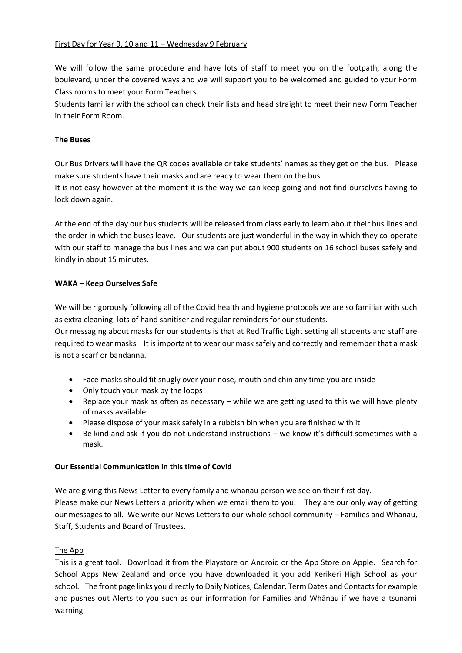# First Day for Year 9, 10 and 11 – Wednesday 9 February

We will follow the same procedure and have lots of staff to meet you on the footpath, along the boulevard, under the covered ways and we will support you to be welcomed and guided to your Form Class rooms to meet your Form Teachers.

Students familiar with the school can check their lists and head straight to meet their new Form Teacher in their Form Room.

### **The Buses**

Our Bus Drivers will have the QR codes available or take students' names as they get on the bus. Please make sure students have their masks and are ready to wear them on the bus.

It is not easy however at the moment it is the way we can keep going and not find ourselves having to lock down again.

At the end of the day our bus students will be released from class early to learn about their bus lines and the order in which the buses leave. Our students are just wonderful in the way in which they co-operate with our staff to manage the bus lines and we can put about 900 students on 16 school buses safely and kindly in about 15 minutes.

### **WAKA – Keep Ourselves Safe**

We will be rigorously following all of the Covid health and hygiene protocols we are so familiar with such as extra cleaning, lots of hand sanitiser and regular reminders for our students.

Our messaging about masks for our students is that at Red Traffic Light setting all students and staff are required to wear masks. It is important to wear our mask safely and correctly and remember that a mask is not a scarf or bandanna.

- Face masks should fit snugly over your nose, mouth and chin any time you are inside
- Only touch your mask by the loops
- Replace your mask as often as necessary while we are getting used to this we will have plenty of masks available
- Please dispose of your mask safely in a rubbish bin when you are finished with it
- Be kind and ask if you do not understand instructions we know it's difficult sometimes with a mask.

#### **Our Essential Communication in this time of Covid**

We are giving this News Letter to every family and whānau person we see on their first day. Please make our News Letters a priority when we email them to you. They are our only way of getting our messages to all. We write our News Letters to our whole school community – Families and Whānau, Staff, Students and Board of Trustees.

# The App

This is a great tool. Download it from the Playstore on Android or the App Store on Apple. Search for School Apps New Zealand and once you have downloaded it you add Kerikeri High School as your school. The front page links you directly to Daily Notices, Calendar, Term Dates and Contacts for example and pushes out Alerts to you such as our information for Families and Whānau if we have a tsunami warning.